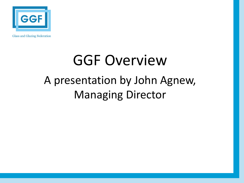

**Glass and Glazing Federation** 

# GGF Overview A presentation by John Agnew, Managing Director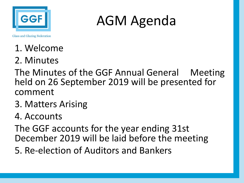

### AGM Agenda

**Glass and Glazing Federation** 

- 1. Welcome
- 2. Minutes

The Minutes of the GGF Annual General Meeting held on 26 September 2019 will be presented for comment

3. Matters Arising

#### 4. Accounts

The GGF accounts for the year ending 31st December 2019 will be laid before the meeting 5. Re-election of Auditors and Bankers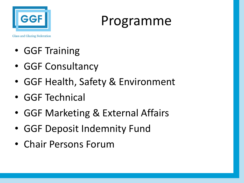

Programme

- GGF Training
- GGF Consultancy
- GGF Health, Safety & Environment
- GGF Technical
- GGF Marketing & External Affairs
- GGF Deposit Indemnity Fund
- Chair Persons Forum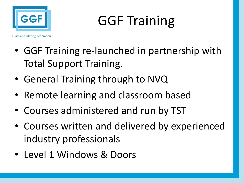

# GGF Training

- GGF Training re-launched in partnership with Total Support Training.
- General Training through to NVQ
- Remote learning and classroom based
- Courses administered and run by TST
- Courses written and delivered by experienced industry professionals
- Level 1 Windows & Doors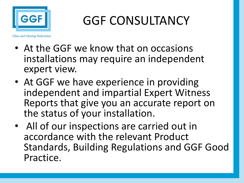

### GGF CONSULTANCY

- At the GGF we know that on occasions installations may require an independent expert view.
- At GGF we have experience in providing independent and impartial Expert Witness Reports that give you an accurate report on the status of your installation.
- All of our inspections are carried out in accordance with the relevant Product Standards, Building Regulations and GGF Good Practice.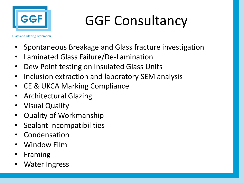

# GGF Consultancy

- Spontaneous Breakage and Glass fracture investigation
- Laminated Glass Failure/De-Lamination
- Dew Point testing on Insulated Glass Units
- Inclusion extraction and laboratory SEM analysis
- CE & UKCA Marking Compliance
- Architectural Glazing
- Visual Quality
- Quality of Workmanship
- Sealant Incompatibilities
- **Condensation**
- Window Film
- **Framing**
- Water Ingress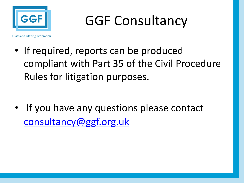

GGF Consultancy

- If required, reports can be produced compliant with Part 35 of the Civil Proced Rules for litigation purposes.
- If you have any questions please contact consultancy@ggf.org.uk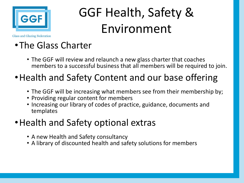

## GGF Health, Safety & Environment

**Glass and Glazing Federation** 

#### •The Glass Charter

• The GGF will review and relaunch a new glass charter that coaches members to a successful business that all members will be required to join.

#### •Health and Safety Content and our base offering

- The GGF will be increasing what members see from their membership by;
- Providing regular content for members
- Increasing our library of codes of practice, guidance, documents and templates

#### •Health and Safety optional extras

- A new Health and Safety consultancy
- A library of discounted health and safety solutions for members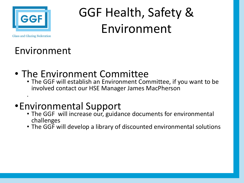

### GGF Health, Safety & Environment

**Glass and Glazing Federation** 

#### Environment

- The Environment Committee
	- The GGF will establish an Environment Committee, if you want to be involved contact our HSE Manager James MacPherson .

#### •Environmental Support

- The GGF will increase our, guidance documents for environmental challenges
- The GGF will develop a library of discounted environmental solutions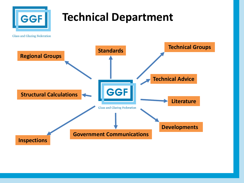

#### **Technical Department**

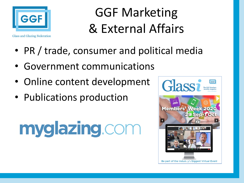

**Glass and Glazing Federation** 

### GGF Marketing & External Affairs

- PR / trade, consumer and political media
- Government communications
- Online content development
- Publications production

# myglazing.com

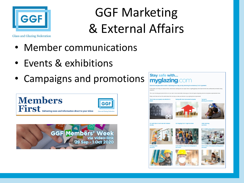

## GGF Marketing & External Affairs

- Member communications
- Events & exhibitions
- Campaigns and promotions





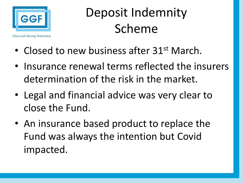

Deposit Indemnity Scheme

- Closed to new business after 31<sup>st</sup> March.
- Insurance renewal terms reflected the insurers determination of the risk in the market.
- Legal and financial advice was very clear to close the Fund.
- An insurance based product to replace the Fund was always the intention but Covid impacted.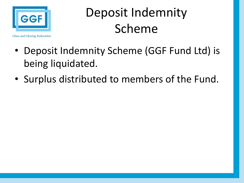

### Deposit Indemnity Scheme

- Deposit Indemnity Scheme (GGF Fund Ltd) is being liquidated.
- Surplus distributed to members of the Fund.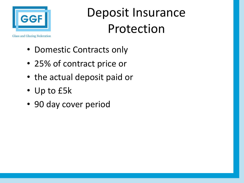

Deposit Insurance Protection

- - Domestic Contracts only
	- 25% of contract price or
	- the actual deposit paid or
	- Up to £5k
	- 90 day cover period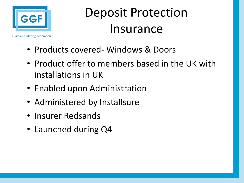

Deposit Protection Insurance

- Products covered- Windows & Doors
- Product offer to members based in the UK with installations in UK
- Enabled upon Administration
- Administered by Installsure
- Insurer Redsands
- Launched during Q4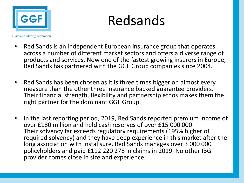

Redsands

- Red Sands is an independent European insurance group that operates across a number of different market sectors and offers a diverse range of products and services. Now one of the fastest growing insurers in Europe, Red Sands has partnered with the GGF Group companies since 2004.
- Red Sands has been chosen as it is three times bigger on almost every measure than the other three insurance backed guarantee providers. Their financial strength, flexibility and partnership ethos makes them the right partner for the dominant GGF Group.
- In the last reporting period, 2019, Red Sands reported premium income of over £180 million and held cash reserves of over £15 000 000. Their solvency far exceeds regulatory requirements (195% higher of required solvency) and they have deep experience in this market after the long association with Installsure. Red Sands manages over 3 000 000 policyholders and paid £112 220 278 in claims in 2019. No other IBG provider comes close in size and experience.